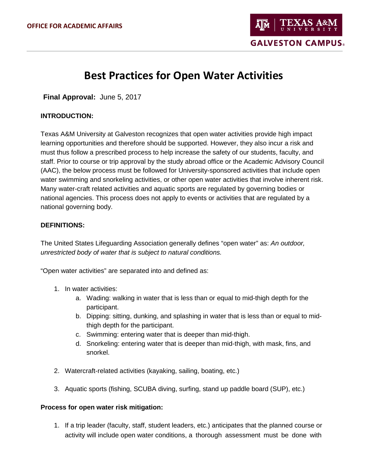# **Best Practices for Open Water Activities**

**Final Approval:** June 5, 2017

## **INTRODUCTION:**

Texas A&M University at Galveston recognizes that open water activities provide high impact learning opportunities and therefore should be supported. However, they also incur a risk and must thus follow a prescribed process to help increase the safety of our students, faculty, and staff. Prior to course or trip approval by the study abroad office or the Academic Advisory Council (AAC), the below process must be followed for University-sponsored activities that include open water swimming and snorkeling activities, or other open water activities that involve inherent risk. Many water-craft related activities and aquatic sports are regulated by governing bodies or national agencies. This process does not apply to events or activities that are regulated by a national governing body.

## **DEFINITIONS:**

The United States Lifeguarding Association generally defines "open water" as: *An outdoor, unrestricted body of water that is subject to natural conditions.*

"Open water activities" are separated into and defined as:

- 1. In water activities:
	- a. Wading: walking in water that is less than or equal to mid-thigh depth for the participant.
	- b. Dipping: sitting, dunking, and splashing in water that is less than or equal to midthigh depth for the participant.
	- c. Swimming: entering water that is deeper than mid-thigh.
	- d. Snorkeling: entering water that is deeper than mid-thigh, with mask, fins, and snorkel.
- 2. Watercraft-related activities (kayaking, sailing, boating, etc.)
- 3. Aquatic sports (fishing, SCUBA diving, surfing, stand up paddle board (SUP), etc.)

### **Process for open water risk mitigation:**

1. If a trip leader (faculty, staff, student leaders, etc.) anticipates that the planned course or activity will include open water conditions, a thorough assessment must be done with